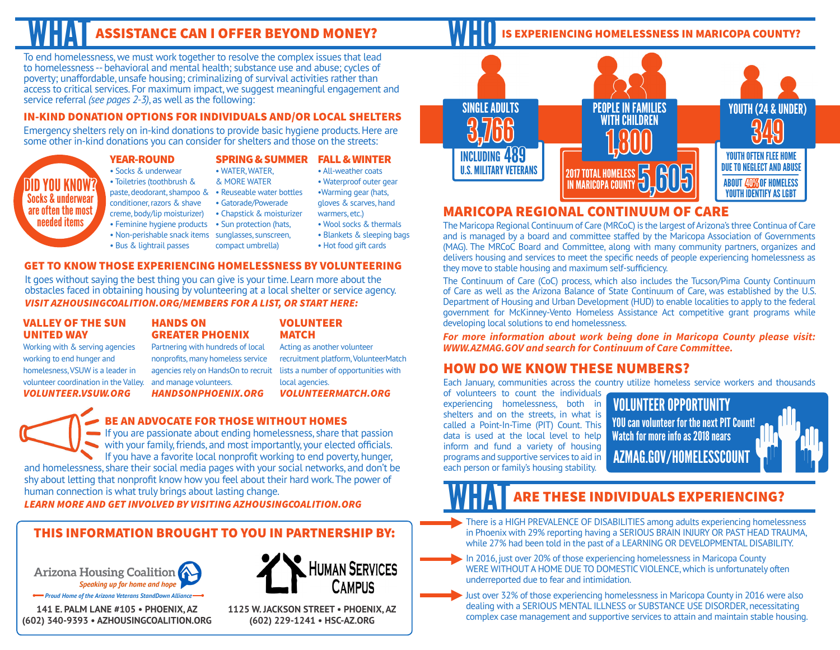# **ASSISTANCE CAN I OFFER BEYOND MONEY?**

To end homelessness, we must work together to resolve the complex issues that lead to homelessness -- behavioral and mental health; substance use and abuse; cycles of poverty; unaffordable, unsafe housing; criminalizing of survival activities rather than access to critical services. For maximum impact, we suggest meaningful engagement and service referral *(see pages 2-3)*, as well as the following:

### IN-KIND DONATION OPTIONS FOR INDIVIDUALS AND/OR LOCAL SHELTERS

Emergency shelters rely on in-kind donations to provide basic hygiene products. Here are some other in-kind donations you can consider for shelters and those on the streets:

### YEAR-ROUND

- Socks & underwear SPRING & SUMMER FALL & WINTER • WATER, WATER,
- Toiletries (toothbrush &
- paste, deodorant, shampoo & Reuseable water bottles
- conditioner, razors & shave • Gatorade/Powerade
- creme, body/lip moisturizer)
- Chapstick & moisturizer
- Feminine hygiene products Sun protection (hats,
- Non-perishable snack items sunglasses, sunscreen, • Bus & lightrail passes compact umbrella)
- warmers, etc.) • Wool socks & thermals
- Blankets & sleeping bags
	- Hot food gift cards

• All-weather coats • Waterproof outer gear •Warming gear (hats, gloves & scarves, hand

### GET TO KNOW THOSE EXPERIENCING HOMELESSNESS BY VOLUNTEERING

It goes without saying the best thing you can give is your time. Learn more about the obstacles faced in obtaining housing by volunteering at a local shelter or service agency. *VISIT AZHOUSINGCOALITION.ORG/MEMBERS FOR A LIST, OR START HERE:*

### VALLEY OF THE SUN UNITED WAY Working with & serving agencies

working to end hunger and homelesness, VSUW is a leader in volunteer coordination in the Valley. *VOLUNTEER.VSUW.ORG*

DID YOU KNOW? Socks & underwear are often the most needed items

### HANDS ON GREATER PHOENIX

Partnering with hundreds of local nonprofits, many homeless service agencies rely on HandsOn to recruit and manage volunteers.

### *HANDSONPHOENIX.ORG*

### BE AN ADVOCATE FOR THOSE WITHOUT HOMES

If you are passionate about ending homelessness, share that passion with your family, friends, and most importantly, your elected officials. If you have a favorite local nonprofit working to end poverty, hunger,

and homelessness, share their social media pages with your social networks, and don't be shy about letting that nonprofit know how you feel about their hard work. The power of human connection is what truly brings about lasting change.

*LEARN MORE AND GET INVOLVED BY VISITING AZHOUSINGCOALITION.ORG*

## THIS INFORMATION BROUGHT TO YOU IN PARTNERSHIP BY:

Arizona Housing Coalition Speaking up for home and hope *Proud Home of the Arizona Veterans StandDown Alliance*

**141 E. PALM LANE #105 • PHOENIX, AZ (602) 340-9393 • AZHOUSINGCOALITION.ORG**



**(602) 229-1241 • HSC-AZ.ORG**

### IS EXPERIENCING HOMELESSNESS IN MARICOPA COUNTY?



# MARICOPA REGIONAL CONTINUUM OF CARE

The Maricopa Regional Continuum of Care (MRCoC) is the largest of Arizona's three Continua of Care and is managed by a board and committee staffed by the Maricopa Association of Governments (MAG). The MRCoC Board and Committee, along with many community partners, organizes and delivers housing and services to meet the specific needs of people experiencing homelessness as they move to stable housing and maximum self-sufficiency.

The Continuum of Care (CoC) process, which also includes the Tucson/Pima County Continuum of Care as well as the Arizona Balance of State Continuum of Care, was established by the U.S. Department of Housing and Urban Development (HUD) to enable localities to apply to the federal government for McKinney-Vento Homeless Assistance Act competitive grant programs while developing local solutions to end homelessness.

*For more information about work being done in Maricopa County please visit: WWW.AZMAG.GOV and search for Continuum of Care Committee.* 

## HOW DO WE KNOW THESE NUMBERS?

Each January, communities across the country utilize homeless service workers and thousands

of volunteers to count the individuals experiencing homelessness, both in shelters and on the streets, in what is called a Point-In-Time (PIT) Count. This data is used at the local level to help inform and fund a variety of housing programs and supportive services to aid in each person or family's housing stability.

VOLUNTEER OPPORTUNITY AZMAG.GOV/HOMELESSCOUNT YOU can volunteer for the next PIT Count! Watch for more info as 2018 nears

# **ARE THESE INDIVIDUALS EXPERIENCING?**

There is a HIGH PREVALENCE OF DISABILITIES among adults experiencing homelessness in Phoenix with 29% reporting having a SERIOUS BRAIN INJURY OR PAST HEAD TRAUMA, while 27% had been told in the past of a LEARNING OR DEVELOPMENTAL DISABILITY.

In 2016, just over 20% of those experiencing homelessness in Maricopa County WERE WITHOUT A HOME DUE TO DOMESTIC VIOLENCE, which is unfortunately often underreported due to fear and intimidation.

Just over 32% of those experiencing homelessness in Maricopa County in 2016 were also dealing with a SERIOUS MENTAL ILLNESS or SUBSTANCE USE DISORDER, necessitating complex case management and supportive services to attain and maintain stable housing.

& MORE WATER

**MATCH** 

local agencies.

lists a number of opportunities with

### *VOLUNTEERMATCH.ORG*

VOLUNTEER Acting as another volunteer recruitment platform, VolunteerMatch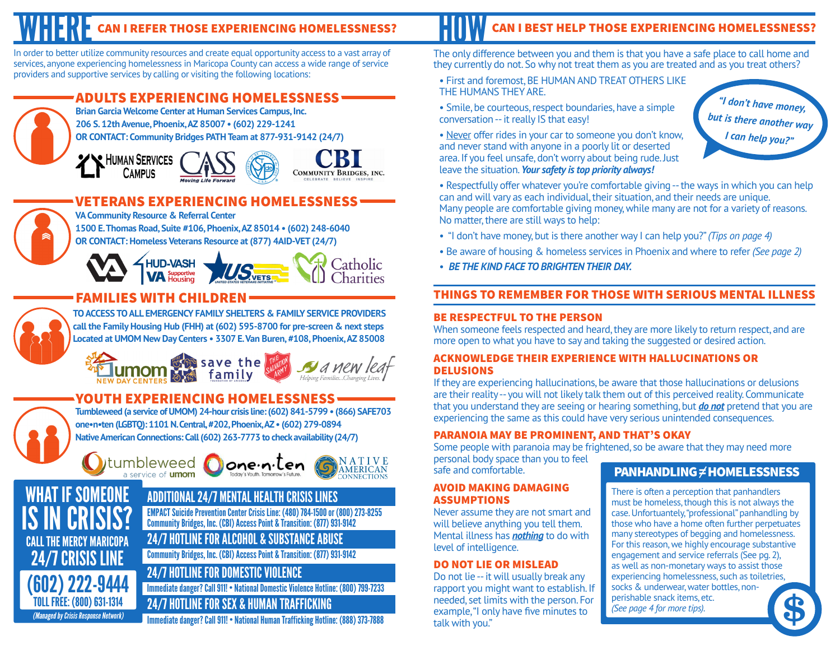# CAN I REFER THOSE EXPERIENCING HOMELESSNESS?

In order to better utilize community resources and create equal opportunity access to a vast array of services, anyone experiencing homelessness in Maricopa County can access a wide range of service providers and supportive services by calling or visiting the following locations:

# ADULTS EXPERIENCING HOMELESSNESS



**Brian Garcia Welcome Center at Human Services Campus, Inc. 206 S. 12th Avenue, Phoenix, AZ 85007 • (602) 229-1241 OR CONTACT: Community Bridges PATH Team at 877-931-9142 (24/7)**

YV HUMAN SERVICES CAMPUS





Catholic

# VETERANS EXPERIENCING HOMELESSNESS

CALL THE MERCY MARICOPA 24/7 CRISIS LINE

(Managed by Crisis Response Network)

(602) 222-9444 TOLL FREE: (800) 631-1314

IS IN CRISIS?

**IF SOMEONE** 

**VA Community Resource & Referral Center 1500 E. Thomas Road, Suite #106, Phoenix, AZ 85014 • (602) 248-6040**

**OR CONTACT: Homeless Veterans Resource at (877) 4AID-VET (24/7)**

# **HUD-VASH**

# FAMILIES WITH CHILDREN

**TO ACCESS TO ALL EMERGENCY FAMILY SHELTERS & FAMILY SERVICE PROVIDERS call the Family Housing Hub (FHH) at (602) 595-8700 for pre-screen & next steps Located at UMOM New Day Centers • 3307 E. Van Buren, #108, Phoenix, AZ 85008**

Save the family

# YOUTH EXPERIENCING HOMELESSNESS

**Tumbleweed (a service of UMOM) 24-hour crisis line: (602) 841-5799 • (866) SAFE703 one•n•ten (LGBTQ): 1101 N. Central, #202, Phoenix, AZ • (602) 279-0894 Native American Connections: Call (602) 263-7773 to check availability (24/7)**







# ADDITIONAL 24/7 MENTAL HEALTH CRISIS LINES

EMPACT Suicide Prevention Center Crisis Line: (480) 784-1500 or (800) 273-8255 Community Bridges, Inc. (CBI) Access Point & Transition: (877) 931-9142

24/7 HOTLINE FOR ALCOHOL & SUBSTANCE ABUSE

Community Bridges, Inc. (CBI) Access Point & Transition: (877) 931-9142

# 24/7 HOTLINE FOR DOMESTIC VIOLENCE

Immediate danger? Call 911! • National Domestic Violence Hotline: (800) 799-7233

### 24/7 HOTLINE FOR SEX & HUMAN TRAFFICKING

Immediate danger? Call 911! • National Human Trafficking Hotline: (888) 373-7888

# CAN I BEST HELP THOSE EXPERIENCING HOMELESSNESS?

The only difference between you and them is that you have a safe place to call home and they currently do not. So why not treat them as you are treated and as you treat others?

• First and foremost, BE HUMAN AND TREAT OTHERS LIKE THE HUMANS THEY ARE.

• Smile, be courteous, respect boundaries, have a simple conversation -- it really IS that easy!

• Never offer rides in your car to someone you don't know, and never stand with anyone in a poorly lit or deserted area. If you feel unsafe, don't worry about being rude. Just leave the situation. *Your safety is top priority always!*

*"I don't have money, but is there another way I can help you?"*

- Respectfully offer whatever you're comfortable giving -- the ways in which you can help can and will vary as each individual, their situation, and their needs are unique. Many people are comfortable giving money, while many are not for a variety of reasons. No matter, there are still ways to help:
- "I don't have money, but is there another way I can help you?" *(Tips on page 4)*
- Be aware of housing & homeless services in Phoenix and where to refer *(See page 2)*
- *BE THE KIND FACE TO BRIGHTEN THEIR DAY.*

## THINGS TO REMEMBER FOR THOSE WITH SERIOUS MENTAL ILLNESS

### BE RESPECTFUL TO THE PERSON

When someone feels respected and heard, they are more likely to return respect, and are more open to what you have to say and taking the suggested or desired action.

### ACKNOWLEDGE THEIR EXPERIENCE WITH HALLUCINATIONS OR DELUSIONS

If they are experiencing hallucinations, be aware that those hallucinations or delusions are their reality -- you will not likely talk them out of this perceived reality. Communicate that you understand they are seeing or hearing something, but *do not* pretend that you are experiencing the same as this could have very serious unintended consequences.

### PARANOIA MAY BE PROMINENT, AND THAT'S OKAY

Some people with paranoia may be frightened, so be aware that they may need more personal body space than you to feel

safe and comfortable.

### AVOID MAKING DAMAGING ASSUMPTIONS

Never assume they are not smart and will believe anything you tell them. Mental illness has *nothing* to do with level of intelligence.

### DO NOT LIE OR MISLEAD

Do not lie -- it will usually break any rapport you might want to establish. If needed, set limits with the person. For example, "I only have five minutes to talk with you."

# **PANHANDLING**  $\neq$  **HOMELESSNESS**

There is often a perception that panhandlers must be homeless, though this is not always the case. Unfortuantely, "professional" panhandling by those who have a home often further perpetuates many stereotypes of begging and homelessness. For this reason, we highly encourage substantive engagement and service referrals (See pg. 2), as well as non-monetary ways to assist those experiencing homelessness, such as toiletries, socks & underwear, water bottles, nonperishable snack items, etc. (See page 4 for more tips).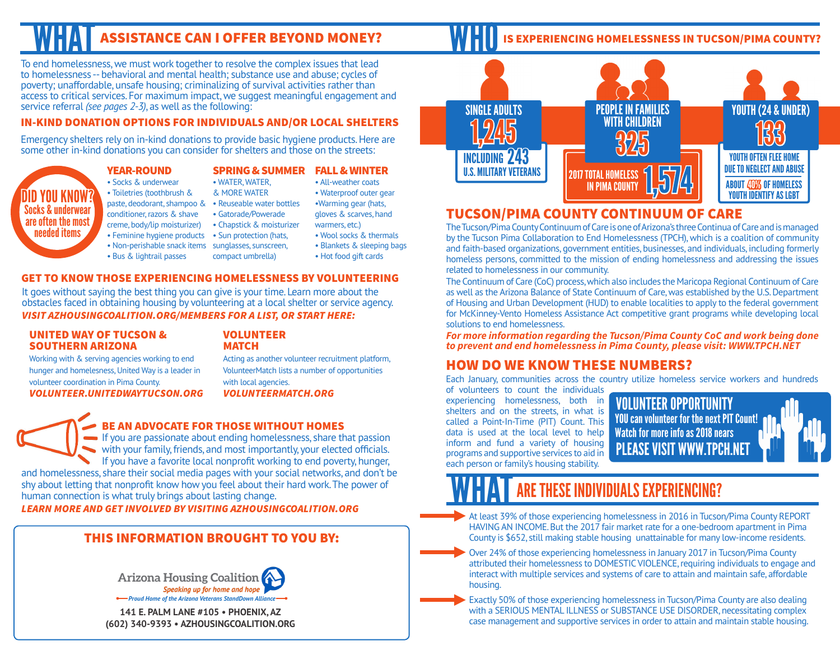To end homelessness, we must work together to resolve the complex issues that lead to homelessness -- behavioral and mental health; substance use and abuse; cycles of poverty; unaffordable, unsafe housing; criminalizing of survival activities rather than access to critical services. For maximum impact, we suggest meaningful engagement and service referral *(see pages 2-3)*, as well as the following:

### IN-KIND DONATION OPTIONS FOR INDIVIDUALS AND/OR LOCAL SHELTERS

Emergency shelters rely on in-kind donations to provide basic hygiene products. Here are some other in-kind donations you can consider for shelters and those on the streets:

### YEAR-ROUND

### • Socks & underwear

- Toiletries (toothbrush &
- 
- paste, deodorant, shampoo & Reuseable water bottles
- conditioner, razors & shave
- creme, body/lip moisturizer)
	-
	- Feminine hygiene products Sun protection (hats,
	- Non-perishable snack items sunglasses, sunscreen,
	- Bus & lightrail passes
- & MORE WATER • Waterproof outer gear •Warming gear (hats,

SPRING & SUMMER FALL & WINTER

- Gatorade/Powerade gloves & scarves, hand
- Chapstick & moisturizer
- 

• WATER, WATER,

- 
- 
- compact umbrella)
- warmers, etc.) • Wool socks & thermals

• All-weather coats

• Blankets & sleeping bags • Hot food gift cards

### GET TO KNOW THOSE EXPERIENCING HOMELESSNESS BY VOLUNTEERING

It goes without saying the best thing you can give is your time. Learn more about the obstacles faced in obtaining housing by volunteering at a local shelter or service agency. *VISIT AZHOUSINGCOALITION.ORG/MEMBERS FOR A LIST, OR START HERE:*

### UNITED WAY OF TUCSON & SOUTHERN ARIZONA

volunteer coordination in Pima County.

### VOLUNTEER **MATCH**

Working with & serving agencies working to end hunger and homelesness, United Way is a leader in *VOLUNTEER.UNITEDWAYTUCSON.ORG* Acting as another volunteer recruitment platform, VolunteerMatch lists a number of opportunities with local agencies. *VOLUNTEERMATCH.ORG*

DID YOU KNOW? Socks & underwear are often the most needed items

### BE AN ADVOCATE FOR THOSE WITHOUT HOMES

If you are passionate about ending homelessness, share that passion with your family, friends, and most importantly, your elected officials. If you have a favorite local nonprofit working to end poverty, hunger, and homelessness, share their social media pages with your social networks, and don't be shy about letting that nonprofit know how you feel about their hard work. The power of human connection is what truly brings about lasting change.

*LEARN MORE AND GET INVOLVED BY VISITING AZHOUSINGCOALITION.ORG*

### THIS INFORMATION BROUGHT TO YOU BY:



**141 E. PALM LANE #105 • PHOENIX, AZ (602) 340-9393 • AZHOUSINGCOALITION.ORG**

# ASSISTANCE CAN I OFFER BEYOND MONEY? **IN HILL** IS EXPERIENCING HOMELESSNESS IN TUCSON/PIMA COUNTY?



# TUCSON/PIMA COUNTY CONTINUUM OF CARE

The Tucson/Pima County Continuum of Care is one of Arizona's three Continua of Care and is managed by the Tucson Pima Collaboration to End Homelessness (TPCH), which is a coalition of community and faith-based organizations, government entities, businesses, and individuals, including formerly homeless persons, committed to the mission of ending homelessness and addressing the issues related to homelessness in our community.

The Continuum of Care (CoC) process, which also includes the Maricopa Regional Continuum of Care as well as the Arizona Balance of State Continuum of Care, was established by the U.S. Department of Housing and Urban Development (HUD) to enable localities to apply to the federal government for McKinney-Vento Homeless Assistance Act competitive grant programs while developing local solutions to end homelessness.

*For more information regarding the Tucson/Pima County CoC and work being done to prevent and end homelessness in Pima County, please visit: WWW.TPCH.NET*

## HOW DO WE KNOW THESE NUMBERS?

Each January, communities across the country utilize homeless service workers and hundreds

of volunteers to count the individuals experiencing homelessness, both in shelters and on the streets, in what is called a Point-In-Time (PIT) Count. This data is used at the local level to help inform and fund a variety of housing programs and supportive services to aid in each person or family's housing stability.

VOLUNTEER OPPORTUNITY PLEASE VISIT WWW.TPCH.NET YOU can volunteer for the next PIT Count! Watch for more info as 2018 nears

# **THESE INDIVIDUALS EXPERIENCING?**

At least 39% of those experiencing homelessness in 2016 in Tucson/Pima County REPORT HAVING AN INCOME. But the 2017 fair market rate for a one-bedroom apartment in Pima County is \$652, still making stable housing unattainable for many low-income residents.

Over 24% of those experiencing homelessness in January 2017 in Tucson/Pima County attributed their homelessness to DOMESTIC VIOLENCE, requiring individuals to engage and interact with multiple services and systems of care to attain and maintain safe, affordable housing.

Exactly 50% of those experiencing homelessness in Tucson/Pima County are also dealing with a SERIOUS MENTAL ILLNESS or SUBSTANCE USE DISORDER, necessitating complex case management and supportive services in order to attain and maintain stable housing.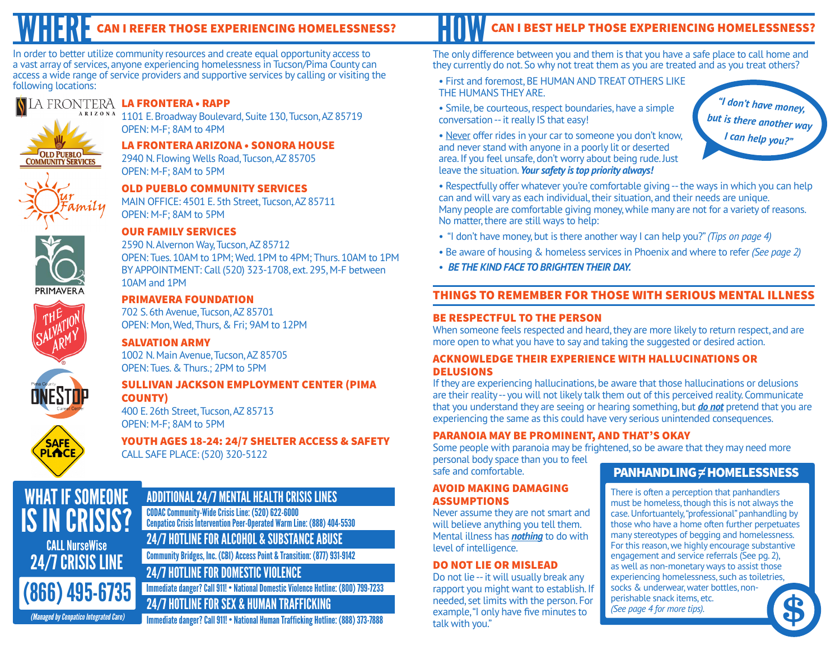In order to better utilize community resources and create equal opportunity access to a vast array of services, anyone experiencing homelessness in Tucson/Pima County can access a wide range of service providers and supportive services by calling or visiting the following locations:

### A FRONTERA LA FRONTERA • RAPP  $\mathbf{A}$   $\mathbf{R}$  I  $\mathbf{Z}$  O  $\mathbf{N}$  A



1101 E. Broadway Boulevard, Suite 130, Tucson, AZ 85719 OPEN: M-F; 8AM to 4PM

LA FRONTERA ARIZONA • SONORA HOUSE 2940 N. Flowing Wells Road, Tucson, AZ 85705 OPEN: M-F; 8AM to 5PM

OLD PUEBLO COMMUNITY SERVICES MAIN OFFICE: 4501 E. 5th Street, Tucson, AZ 85711 OPEN: M-F; 8AM to 5PM



**SAFE** PLACI

### OUR FAMILY SERVICES

2590 N. Alvernon Way, Tucson, AZ 85712 OPEN: Tues. 10AM to 1PM; Wed. 1PM to 4PM; Thurs. 10AM to 1PM BY APPOINTMENT: Call (520) 323-1708, ext. 295, M-F between 10AM and 1PM

### PRIMAVERA FOUNDATION

702 S. 6th Avenue, Tucson, AZ 85701 OPEN: Mon, Wed, Thurs, & Fri; 9AM to 12PM

### SALVATION ARMY

1002 N. Main Avenue, Tucson, AZ 85705 OPEN: Tues. & Thurs.; 2PM to 5PM

### SULLIVAN JACKSON EMPLOYMENT CENTER (PIMA COUNTY)

400 E. 26th Street, Tucson, AZ 85713 OPEN: M-F; 8AM to 5PM

YOUTH AGES 18-24: 24/7 SHELTER ACCESS & SAFETY CALL SAFE PLACE: (520) 320-5122

### ADDITIONAL 24/7 MENTAL HEALTH CRISIS LINES CALL NurseWise WHAT IF SOMEONE IS IN CRISIS? CODAC Community-Wide Crisis Line: (520) 622-6000 Cenpatico Crisis Intervention Peer-Operated Warm Line: (888) 404-5530 24/7 HOTLINE FOR ALCOHOL & SUBSTANCE ABUSE

(866) 495-6735

24/7 CRISIS LINE

Community Bridges, Inc. (CBI) Access Point & Transition: (877) 931-9142

# 24/7 HOTLINE FOR DOMESTIC VIOLENCE

Immediate danger? Call 911! • National Domestic Violence Hotline: (800) 799-7233

# 24/7 HOTLINE FOR SEX & HUMAN TRAFFICKING

(Managed by Cenpatico Integrated Care) Immediate danger? Call 911! • National Human Trafficking Hotline: (888) 373-7888

# CAN I REFER THOSE EXPERIENCING HOMELESSNESS? HILL W CAN I BEST HELP THOSE EXPERIENCING HOMELESSNESS?

The only difference between you and them is that you have a safe place to call home and they currently do not. So why not treat them as you are treated and as you treat others?

### • First and foremost, BE HUMAN AND TREAT OTHERS LIKE THE HUMANS THEY ARE.

• Smile, be courteous, respect boundaries, have a simple conversation -- it really IS that easy!

• Never offer rides in your car to someone you don't know, and never stand with anyone in a poorly lit or deserted area. If you feel unsafe, don't worry about being rude. Just leave the situation. *Your safety is top priority always!*

*"I don't have money, but is there another way I can help you?"*

• Respectfully offer whatever you're comfortable giving -- the ways in which you can help can and will vary as each individual, their situation, and their needs are unique. Many people are comfortable giving money, while many are not for a variety of reasons. No matter, there are still ways to help:

- "I don't have money, but is there another way I can help you?" *(Tips on page 4)*
- Be aware of housing & homeless services in Phoenix and where to refer *(See page 2)*
- *BE THE KIND FACE TO BRIGHTEN THEIR DAY.*

## THINGS TO REMEMBER FOR THOSE WITH SERIOUS MENTAL ILLNESS

### BE RESPECTFUL TO THE PERSON

When someone feels respected and heard, they are more likely to return respect, and are more open to what you have to say and taking the suggested or desired action.

### ACKNOWLEDGE THEIR EXPERIENCE WITH HALLUCINATIONS OR DELUSIONS

If they are experiencing hallucinations, be aware that those hallucinations or delusions are their reality -- you will not likely talk them out of this perceived reality. Communicate that you understand they are seeing or hearing something, but *do not* pretend that you are experiencing the same as this could have very serious unintended consequences.

### PARANOIA MAY BE PROMINENT, AND THAT'S OKAY

Some people with paranoia may be frightened, so be aware that they may need more personal body space than you to feel

safe and comfortable.

### AVOID MAKING DAMAGING ASSUMPTIONS

Never assume they are not smart and will believe anything you tell them. Mental illness has *nothing* to do with level of intelligence.

### DO NOT LIE OR MISLEAD

Do not lie -- it will usually break any rapport you might want to establish. If needed, set limits with the person. For example, "I only have five minutes to talk with you."

## $PANHANDLING \neq HOMELESSNESS$

There is often a perception that panhandlers must be homeless, though this is not always the case. Unfortuantely, "professional" panhandling by those who have a home often further perpetuates many stereotypes of begging and homelessness. For this reason, we highly encourage substantive engagement and service referrals (See pg. 2), as well as non-monetary ways to assist those experiencing homelessness, such as toiletries, socks & underwear, water bottles, nonperishable snack items, etc. (See page 4 for more tips).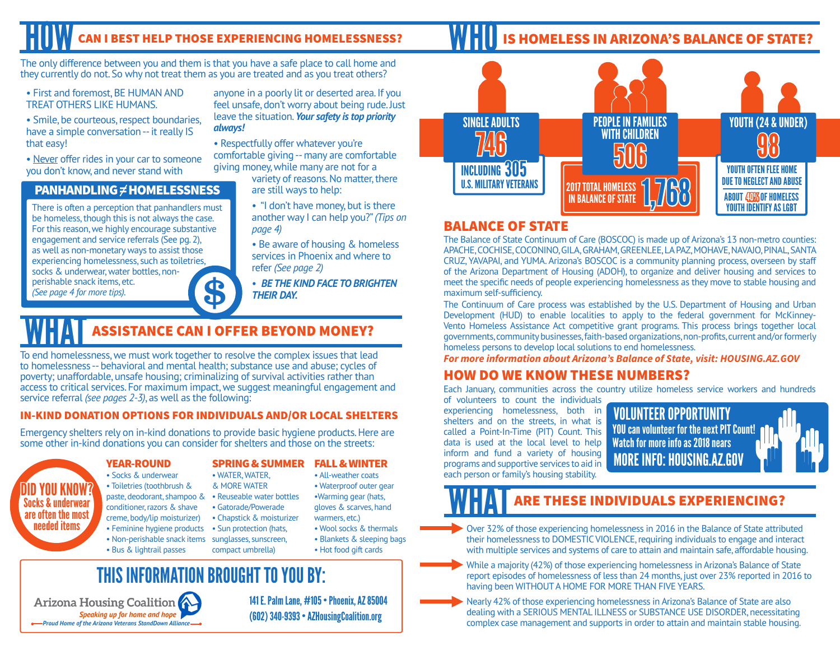# CAN I BEST HELP THOSE EXPERIENCING HOMELESSNESS?

The only difference between you and them is that you have a safe place to call home and they currently do not. So why not treat them as you are treated and as you treat others?

- First and foremost, BE HUMAN AND TREAT OTHERS LIKE HUMANS.
- Smile, be courteous, respect boundaries, have a simple conversation -- it really IS that easy!
- Never offer rides in your car to someone you don't know, and never stand with

### PANHANDLING  $\neq$  HOMELESSNESS

There is often a perception that panhandlers must be homeless, though this is not always the case. For this reason, we highly encourage substantive engagement and service referrals (See pg. 2), as well as non-monetary ways to assist those experiencing homelessness, such as toiletries, socks & underwear, water bottles, nonperishable snack items, etc. (See page 4 for more tips).

anyone in a poorly lit or deserted area. If you feel unsafe, don't worry about being rude. Just leave the situation. *Your safety is top priority always!*

• Respectfully offer whatever you're comfortable giving -- many are comfortable giving money, while many are not for a

> variety of reasons. No matter, there are still ways to help:

• "I don't have money, but is there another way I can help you?" *(Tips on page 4)*

• Be aware of housing & homeless services in Phoenix and where to refer *(See page 2)*

• *BE THE KIND FACE TO BRIGHTEN THEIR DAY.*

# **ASSISTANCE CAN I OFFER BEYOND MONEY?**

To end homelessness, we must work together to resolve the complex issues that lead to homelessness -- behavioral and mental health; substance use and abuse; cycles of poverty; unaffordable, unsafe housing; criminalizing of survival activities rather than access to critical services. For maximum impact, we suggest meaningful engagement and service referral *(see pages 2-3)*, as well as the following:

### IN-KIND DONATION OPTIONS FOR INDIVIDUALS AND/OR LOCAL SHELTERS

Emergency shelters rely on in-kind donations to provide basic hygiene products. Here are some other in-kind donations you can consider for shelters and those on the streets:

> • WATER, WATER, & MORE WATER

• Gatorade/Powerade • Chapstick & moisturizer

### YEAR-ROUND

DID YOU KNOW?

- Socks & underwear
- Toiletries (toothbrush &
- paste, deodorant, shampoo &
- conditioner, razors & shave Socks & underwear are often the most
	- creme, body/lip moisturizer)
		- Feminine hygiene products Sun protection (hats,
		- Non-perishable snack items sunglasses, sunscreen,
			- compact umbrella)

### SPRING & SUMMER FALL & WINTER

- All-weather coats
- Reuseable water bottles • Waterproof outer gear •Warming gear (hats,
	- gloves & scarves, hand warmers, etc.)
	- Wool socks & thermals • Blankets & sleeping bags
	- Hot food gift cards



**HII IS HOMELESS IN ARIZONA'S BALANCE OF STATE?** 

### BALANCE OF STATE

The Balance of State Continuum of Care (BOSCOC) is made up of Arizona's 13 non-metro counties: APACHE, COCHISE, COCONINO, GILA, GRAHAM, GREENLEE, LA PAZ, MOHAVE, NAVAJO, PINAL, SANTA CRUZ, YAVAPAI, and YUMA. Arizona's BOSCOC is a community planning process, overseen by staff of the Arizona Department of Housing (ADOH), to organize and deliver housing and services to meet the specific needs of people experiencing homelessness as they move to stable housing and maximum self-sufficiency.

The Continuum of Care process was established by the U.S. Department of Housing and Urban Development (HUD) to enable localities to apply to the federal government for McKinney-Vento Homeless Assistance Act competitive grant programs. This process brings together local governments, community businesses, faith-based organizations, non-profits, current and/or formerly homeless persons to develop local solutions to end homelessness.

*For more information about Arizona's Balance of State, visit: HOUSING.AZ.GOV*

# HOW DO WE KNOW THESE NUMBERS?

Each January, communities across the country utilize homeless service workers and hundreds

of volunteers to count the individuals experiencing homelessness, both in shelters and on the streets, in what is called a Point-In-Time (PIT) Count. This data is used at the local level to help inform and fund a variety of housing programs and supportive services to aid in each person or family's housing stability.



# ARE THESE INDIVIDUALS EXPERIENCING?

- Over 32% of those experiencing homelessness in 2016 in the Balance of State attributed their homelessness to DOMESTIC VIOLENCE, requiring individuals to engage and interact with multiple services and systems of care to attain and maintain safe, affordable housing.
- While a majority (42%) of those experiencing homelessness in Arizona's Balance of State report episodes of homelessness of less than 24 months, just over 23% reported in 2016 to having been WITHOUT A HOME FOR MORE THAN FIVE YEARS.

Nearly 42% of those experiencing homelessness in Arizona's Balance of State are also dealing with a SERIOUS MENTAL ILLNESS or SUBSTANCE USE DISORDER, necessitating complex case management and supports in order to attain and maintain stable housing.

• Bus & lightrail passes needed items

THIS INFORMATION BROUGHT TO YOU BY:

Arizona Housing Coalition Speaking up for home and hope **Proud Home of the Arizona Veterans StandDown Alliance** 

141 E. Palm Lane, #105 • Phoenix, AZ 85004 (602) 340-9393 • AZHousingCoalition.org